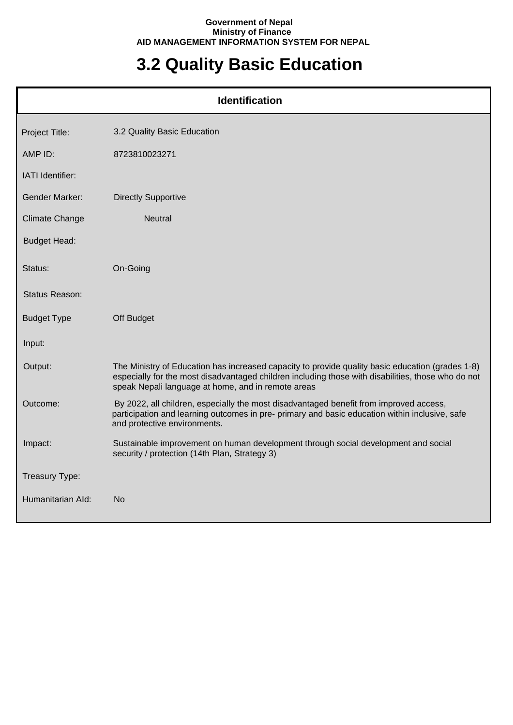## **Government of Nepal Ministry of Finance AID MANAGEMENT INFORMATION SYSTEM FOR NEPAL**

## **3.2 Quality Basic Education**

| <b>Identification</b> |                                                                                                                                                                                                                                                              |  |
|-----------------------|--------------------------------------------------------------------------------------------------------------------------------------------------------------------------------------------------------------------------------------------------------------|--|
| Project Title:        | 3.2 Quality Basic Education                                                                                                                                                                                                                                  |  |
| AMP ID:               | 8723810023271                                                                                                                                                                                                                                                |  |
| IATI Identifier:      |                                                                                                                                                                                                                                                              |  |
| <b>Gender Marker:</b> | <b>Directly Supportive</b>                                                                                                                                                                                                                                   |  |
| <b>Climate Change</b> | <b>Neutral</b>                                                                                                                                                                                                                                               |  |
| <b>Budget Head:</b>   |                                                                                                                                                                                                                                                              |  |
| Status:               | On-Going                                                                                                                                                                                                                                                     |  |
| Status Reason:        |                                                                                                                                                                                                                                                              |  |
| <b>Budget Type</b>    | Off Budget                                                                                                                                                                                                                                                   |  |
| Input:                |                                                                                                                                                                                                                                                              |  |
| Output:               | The Ministry of Education has increased capacity to provide quality basic education (grades 1-8)<br>especially for the most disadvantaged children including those with disabilities, those who do not<br>speak Nepali language at home, and in remote areas |  |
| Outcome:              | By 2022, all children, especially the most disadvantaged benefit from improved access,<br>participation and learning outcomes in pre- primary and basic education within inclusive, safe<br>and protective environments.                                     |  |
| Impact:               | Sustainable improvement on human development through social development and social<br>security / protection (14th Plan, Strategy 3)                                                                                                                          |  |
| Treasury Type:        |                                                                                                                                                                                                                                                              |  |
| Humanitarian Ald:     | No                                                                                                                                                                                                                                                           |  |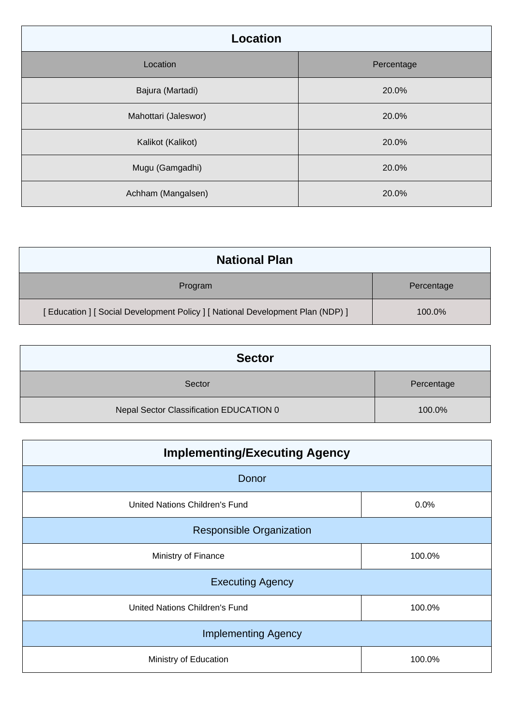| Location             |            |
|----------------------|------------|
| Location             | Percentage |
| Bajura (Martadi)     | 20.0%      |
| Mahottari (Jaleswor) | 20.0%      |
| Kalikot (Kalikot)    | 20.0%      |
| Mugu (Gamgadhi)      | 20.0%      |
| Achham (Mangalsen)   | 20.0%      |

| <b>National Plan</b>                                                            |            |
|---------------------------------------------------------------------------------|------------|
| Program                                                                         | Percentage |
| [ Education ] [ Social Development Policy ] [ National Development Plan (NDP) ] | 100.0%     |

| <b>Sector</b>                           |            |
|-----------------------------------------|------------|
| Sector                                  | Percentage |
| Nepal Sector Classification EDUCATION 0 | 100.0%     |

| <b>Implementing/Executing Agency</b> |        |  |
|--------------------------------------|--------|--|
| Donor                                |        |  |
| United Nations Children's Fund       | 0.0%   |  |
| <b>Responsible Organization</b>      |        |  |
| Ministry of Finance                  | 100.0% |  |
| <b>Executing Agency</b>              |        |  |
| United Nations Children's Fund       | 100.0% |  |
| <b>Implementing Agency</b>           |        |  |
| Ministry of Education                | 100.0% |  |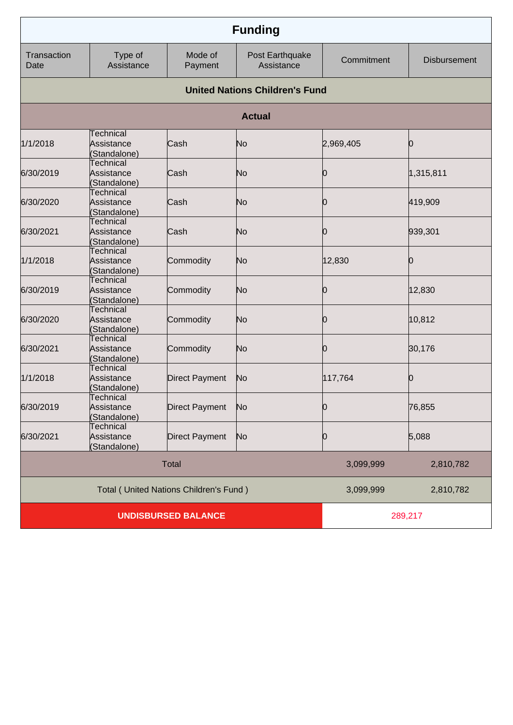| <b>Funding</b>      |                                                |                            |                                       |            |                     |
|---------------------|------------------------------------------------|----------------------------|---------------------------------------|------------|---------------------|
| Transaction<br>Date | Type of<br>Assistance                          | Mode of<br>Payment         | Post Earthquake<br>Assistance         | Commitment | <b>Disbursement</b> |
|                     |                                                |                            | <b>United Nations Children's Fund</b> |            |                     |
|                     |                                                |                            | <b>Actual</b>                         |            |                     |
| 1/1/2018            | Technical<br>Assistance<br>(Standalone)        | Cash                       | No                                    | 2,969,405  | Ю                   |
| 6/30/2019           | Technical<br>Assistance<br>(Standalone)        | Cash                       | No                                    | 0          | 1,315,811           |
| 6/30/2020           | Technical<br>Assistance<br>(Standalone)        | Cash                       | No                                    | O          | 419,909             |
| 6/30/2021           | Technical<br>Assistance<br>(Standalone)        | Cash                       | No                                    | O          | 939,301             |
| 1/1/2018            | <b>Technical</b><br>Assistance<br>(Standalone) | Commodity                  | No                                    | 12,830     | Ю                   |
| 6/30/2019           | Technical<br>Assistance<br>(Standalone)        | Commodity                  | No                                    | O          | 12,830              |
| 6/30/2020           | Technical<br>Assistance<br>(Standalone)        | Commodity                  | No                                    | 0          | 10,812              |
| 6/30/2021           | Technical<br>Assistance<br>(Standalone)        | Commodity                  | No                                    | 0          | 30,176              |
| 1/1/2018            | Technical<br>Assistance<br>(Standalone)        | <b>Direct Payment</b>      | No                                    | 117,764    | Ю                   |
| 6/30/2019           | Technical<br>Assistance<br>(Standalone)        | <b>Direct Payment</b>      | No                                    | 0          | 76,855              |
| 6/30/2021           | <b>Technical</b><br>Assistance<br>(Standalone) | <b>Direct Payment</b>      | No                                    | O          | 5,088               |
| <b>Total</b>        |                                                | 3,099,999                  | 2,810,782                             |            |                     |
|                     | Total (United Nations Children's Fund)         |                            |                                       | 3,099,999  | 2,810,782           |
|                     |                                                | <b>UNDISBURSED BALANCE</b> |                                       |            | 289,217             |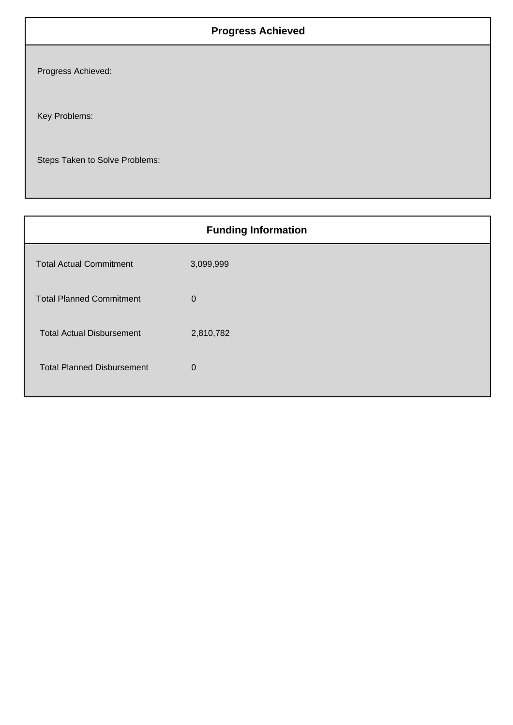## **Progress Achieved**

Progress Achieved:

Key Problems:

Steps Taken to Solve Problems:

|                                   | <b>Funding Information</b> |
|-----------------------------------|----------------------------|
| <b>Total Actual Commitment</b>    | 3,099,999                  |
| <b>Total Planned Commitment</b>   | $\mathbf 0$                |
| <b>Total Actual Disbursement</b>  | 2,810,782                  |
| <b>Total Planned Disbursement</b> | $\mathbf 0$                |
|                                   |                            |